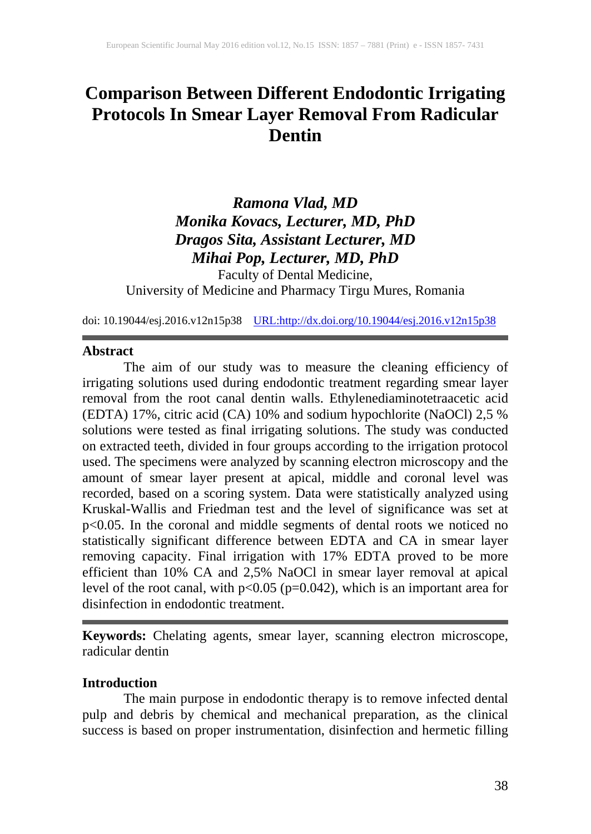# **Comparison Between Different Endodontic Irrigating Protocols In Smear Layer Removal From Radicular Dentin**

## *Ramona Vlad, MD Monika Kovacs, Lecturer, MD, PhD Dragos Sita, Assistant Lecturer, MD Mihai Pop, Lecturer, MD, PhD*

Faculty of Dental Medicine, University of Medicine and Pharmacy Tirgu Mures, Romania

doi: 10.19044/esj.2016.v12n15p38 [URL:http://dx.doi.org/10.19044/esj.2016.v12n15p38](http://dx.doi.org/10.19044/esj.2016.v12n15p38)

### **Abstract**

The aim of our study was to measure the cleaning efficiency of irrigating solutions used during endodontic treatment regarding smear layer removal from the root canal dentin walls. Ethylenediaminotetraacetic acid (EDTA) 17%, citric acid (CA) 10% and sodium hypochlorite (NaOCl) 2,5 % solutions were tested as final irrigating solutions. The study was conducted on extracted teeth, divided in four groups according to the irrigation protocol used. The specimens were analyzed by scanning electron microscopy and the amount of smear layer present at apical, middle and coronal level was recorded, based on a scoring system. Data were statistically analyzed using Kruskal-Wallis and Friedman test and the level of significance was set at p<0.05. In the coronal and middle segments of dental roots we noticed no statistically significant difference between EDTA and CA in smear layer removing capacity. Final irrigation with 17% EDTA proved to be more efficient than 10% CA and 2,5% NaOCl in smear layer removal at apical level of the root canal, with  $p<0.05$  ( $p=0.042$ ), which is an important area for disinfection in endodontic treatment.

**Keywords:** Chelating agents, smear layer, scanning electron microscope, radicular dentin

## **Introduction**

The main purpose in endodontic therapy is to remove infected dental pulp and debris by chemical and mechanical preparation, as the clinical success is based on proper instrumentation, disinfection and hermetic filling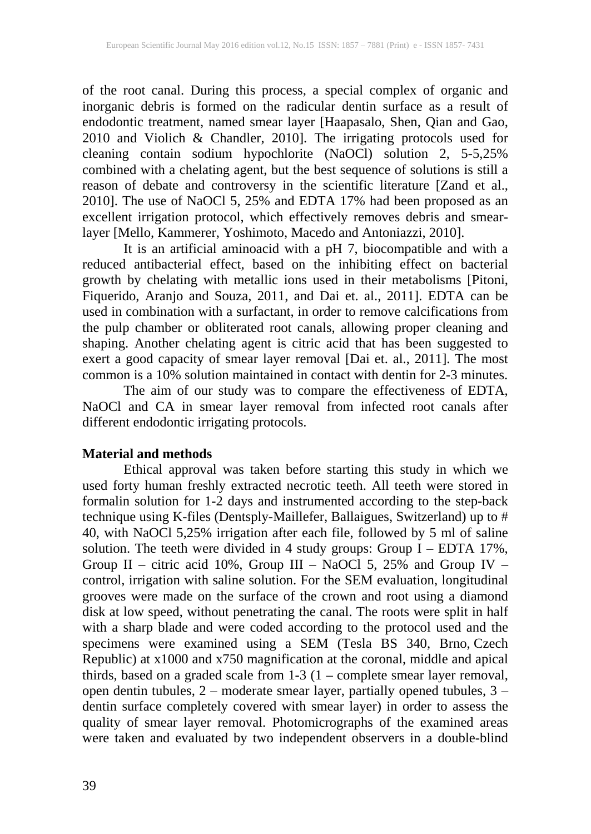of the root canal. During this process, a special complex of organic and inorganic debris is formed on the radicular dentin surface as a result of endodontic treatment, named smear layer [Haapasalo, Shen, Qian and Gao, 2010 and Violich & Chandler, 2010]. The irrigating protocols used for cleaning contain sodium hypochlorite (NaOCl) solution 2, 5-5,25% combined with a chelating agent, but the best sequence of solutions is still a reason of debate and controversy in the scientific literature [Zand et al., 2010]. The use of NaOCl 5, 25% and EDTA 17% had been proposed as an excellent irrigation protocol, which effectively removes debris and smearlayer [Mello, Kammerer, Yoshimoto, Macedo and Antoniazzi, 2010].

It is an artificial aminoacid with a pH 7, biocompatible and with a reduced antibacterial effect, based on the inhibiting effect on bacterial growth by chelating with metallic ions used in their metabolisms [Pitoni, Fiquerido, Aranjo and Souza, 2011, and Dai et. al., 2011]. EDTA can be used in combination with a surfactant, in order to remove calcifications from the pulp chamber or obliterated root canals, allowing proper cleaning and shaping. Another chelating agent is citric acid that has been suggested to exert a good capacity of smear layer removal [Dai et. al., 2011]. The most common is a 10% solution maintained in contact with dentin for 2-3 minutes.

The aim of our study was to compare the effectiveness of EDTA, NaOCl and CA in smear layer removal from infected root canals after different endodontic irrigating protocols.

## **Material and methods**

Ethical approval was taken before starting this study in which we used forty human freshly extracted necrotic teeth. All teeth were stored in formalin solution for 1-2 days and instrumented according to the step-back technique using K-files (Dentsply-Maillefer, Ballaigues, Switzerland) up to # 40, with NaOCl 5,25% irrigation after each file, followed by 5 ml of saline solution. The teeth were divided in 4 study groups: Group I – EDTA 17%, Group II – citric acid 10%, Group III – NaOCl 5, 25% and Group IV – control, irrigation with saline solution. For the SEM evaluation, longitudinal grooves were made on the surface of the crown and root using a diamond disk at low speed, without penetrating the canal. The roots were split in half with a sharp blade and were coded according to the protocol used and the specimens were examined using a SEM (Tesla BS 340, Brno, Czech Republic) at x1000 and x750 magnification at the coronal, middle and apical thirds, based on a graded scale from 1-3 (1 – complete smear layer removal, open dentin tubules, 2 – moderate smear layer, partially opened tubules, 3 – dentin surface completely covered with smear layer) in order to assess the quality of smear layer removal. Photomicrographs of the examined areas were taken and evaluated by two independent observers in a double-blind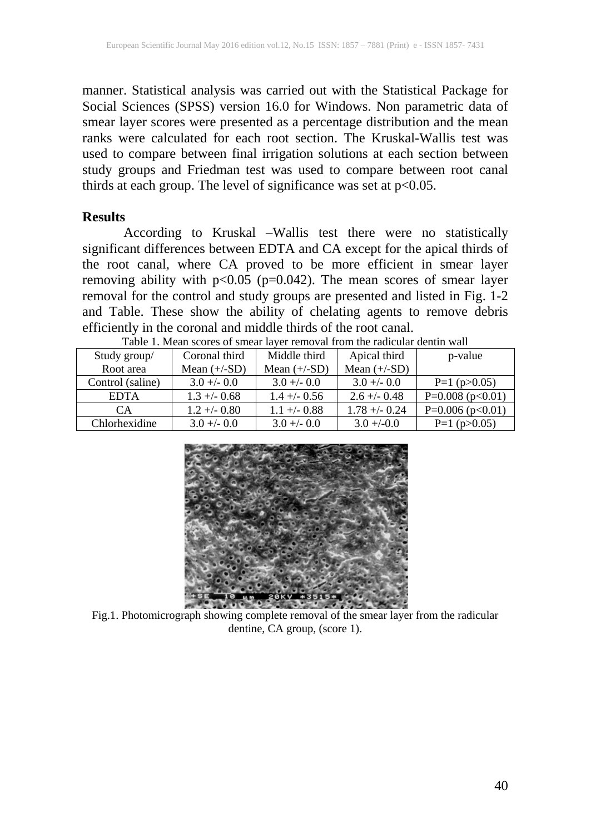manner. Statistical analysis was carried out with the Statistical Package for Social Sciences (SPSS) version 16.0 for Windows. Non parametric data of smear layer scores were presented as a percentage distribution and the mean ranks were calculated for each root section. The Kruskal-Wallis test was used to compare between final irrigation solutions at each section between study groups and Friedman test was used to compare between root canal thirds at each group. The level of significance was set at  $p<0.05$ .

### **Results**

According to Kruskal –Wallis test there were no statistically significant differences between EDTA and CA except for the apical thirds of the root canal, where CA proved to be more efficient in smear layer removing ability with  $p<0.05$  ( $p=0.042$ ). The mean scores of smear layer removal for the control and study groups are presented and listed in Fig. 1-2 and Table. These show the ability of chelating agents to remove debris efficiently in the coronal and middle thirds of the root canal.

| Table 1. Mean scores of smear layer removal from the radicular dentifi wall |                |                |                 |                         |
|-----------------------------------------------------------------------------|----------------|----------------|-----------------|-------------------------|
| Study group/                                                                | Coronal third  | Middle third   | Apical third    | p-value                 |
| Root area                                                                   | Mean $(+/-SD)$ | Mean $(+/-SD)$ | Mean $(+/-SD)$  |                         |
| Control (saline)                                                            | $3.0 + -0.0$   | $3.0 +/- 0.0$  | $3.0 + -0.0$    | $P=1$ (p $>0.05$ )      |
| <b>EDTA</b>                                                                 | $1.3 + -0.68$  | $1.4 + - 0.56$ | $2.6 + (-0.48)$ | P= $0.008$ (p< $0.01$ ) |
| CA                                                                          | $1.2 + -0.80$  | $1.1 + - 0.88$ | $1.78 + -0.24$  | P= $0.006$ (p< $0.01$ ) |
| Chlorhexidine                                                               | $3.0 +/- 0.0$  | $3.0 +/- 0.0$  | $3.0 + (-0.0$   | $P=1$ (p $>0.05$ )      |



Fig.1. Photomicrograph showing complete removal of the smear layer from the radicular dentine, CA group, (score 1).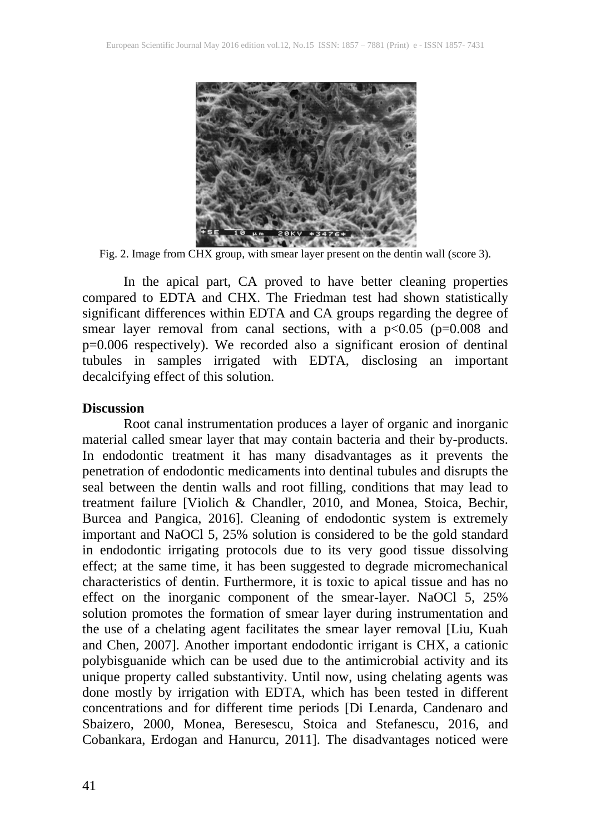

Fig. 2. Image from CHX group, with smear layer present on the dentin wall (score 3).

In the apical part, CA proved to have better cleaning properties compared to EDTA and CHX. The Friedman test had shown statistically significant differences within EDTA and CA groups regarding the degree of smear layer removal from canal sections, with a  $p<0.05$  ( $p=0.008$  and p=0.006 respectively). We recorded also a significant erosion of dentinal tubules in samples irrigated with EDTA, disclosing an important decalcifying effect of this solution.

#### **Discussion**

Root canal instrumentation produces a layer of organic and inorganic material called smear layer that may contain bacteria and their by-products. In endodontic treatment it has many disadvantages as it prevents the penetration of endodontic medicaments into dentinal tubules and disrupts the seal between the dentin walls and root filling, conditions that may lead to treatment failure [Violich & Chandler, 2010, and Monea, Stoica, Bechir, Burcea and Pangica, 2016]. Cleaning of endodontic system is extremely important and NaOCl 5, 25% solution is considered to be the gold standard in endodontic irrigating protocols due to its very good tissue dissolving effect; at the same time, it has been suggested to degrade micromechanical characteristics of dentin. Furthermore, it is toxic to apical tissue and has no effect on the inorganic component of the smear-layer. NaOCl 5, 25% solution promotes the formation of smear layer during instrumentation and the use of a chelating agent facilitates the smear layer removal [Liu, Kuah and Chen, 2007]. Another important endodontic irrigant is CHX, a cationic polybisguanide which can be used due to the antimicrobial activity and its unique property called substantivity. Until now, using chelating agents was done mostly by irrigation with EDTA, which has been tested in different concentrations and for different time periods [Di Lenarda, Candenaro and Sbaizero, 2000, Monea, Beresescu, Stoica and Stefanescu, 2016, and Cobankara, Erdogan and Hanurcu, 2011]. The disadvantages noticed were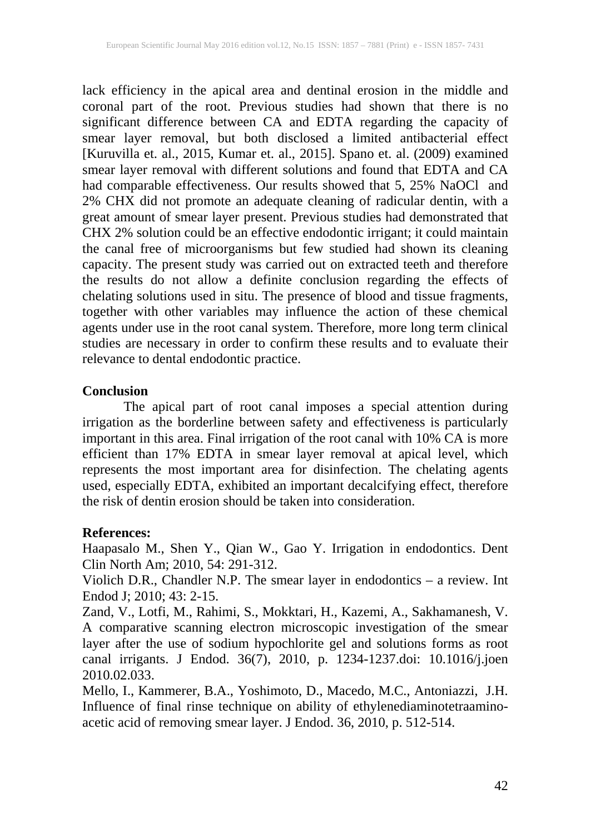lack efficiency in the apical area and dentinal erosion in the middle and coronal part of the root. Previous studies had shown that there is no significant difference between CA and EDTA regarding the capacity of smear layer removal, but both disclosed a limited antibacterial effect [Kuruvilla et. al., 2015, Kumar et. al., 2015]. Spano et. al. (2009) examined smear layer removal with different solutions and found that EDTA and CA had comparable effectiveness. Our results showed that 5, 25% NaOCl and 2% CHX did not promote an adequate cleaning of radicular dentin, with a great amount of smear layer present. Previous studies had demonstrated that CHX 2% solution could be an effective endodontic irrigant; it could maintain the canal free of microorganisms but few studied had shown its cleaning capacity. The present study was carried out on extracted teeth and therefore the results do not allow a definite conclusion regarding the effects of chelating solutions used in situ. The presence of blood and tissue fragments, together with other variables may influence the action of these chemical agents under use in the root canal system. Therefore, more long term clinical studies are necessary in order to confirm these results and to evaluate their relevance to dental endodontic practice.

### **Conclusion**

The apical part of root canal imposes a special attention during irrigation as the borderline between safety and effectiveness is particularly important in this area. Final irrigation of the root canal with 10% CA is more efficient than 17% EDTA in smear layer removal at apical level, which represents the most important area for disinfection. The chelating agents used, especially EDTA, exhibited an important decalcifying effect, therefore the risk of dentin erosion should be taken into consideration.

## **References:**

Haapasalo M., Shen Y., Qian W., Gao Y. Irrigation in endodontics. Dent Clin North Am; 2010, 54: 291-312.

Violich D.R., Chandler N.P. The smear layer in endodontics – a review. Int Endod J; 2010; 43: 2-15.

Zand, V., Lotfi, M., Rahimi, S., Mokktari, H., Kazemi, A., Sakhamanesh, V. A comparative scanning electron microscopic investigation of the smear layer after the use of sodium hypochlorite gel and solutions forms as root canal irrigants. J Endod. 36(7), 2010, p. 1234-1237.doi: 10.1016/j.joen 2010.02.033.

Mello, I., Kammerer, B.A., Yoshimoto, D., Macedo, M.C., Antoniazzi, J.H. Influence of final rinse technique on ability of ethylenediaminotetraaminoacetic acid of removing smear layer. J Endod. 36, 2010, p. 512-514.